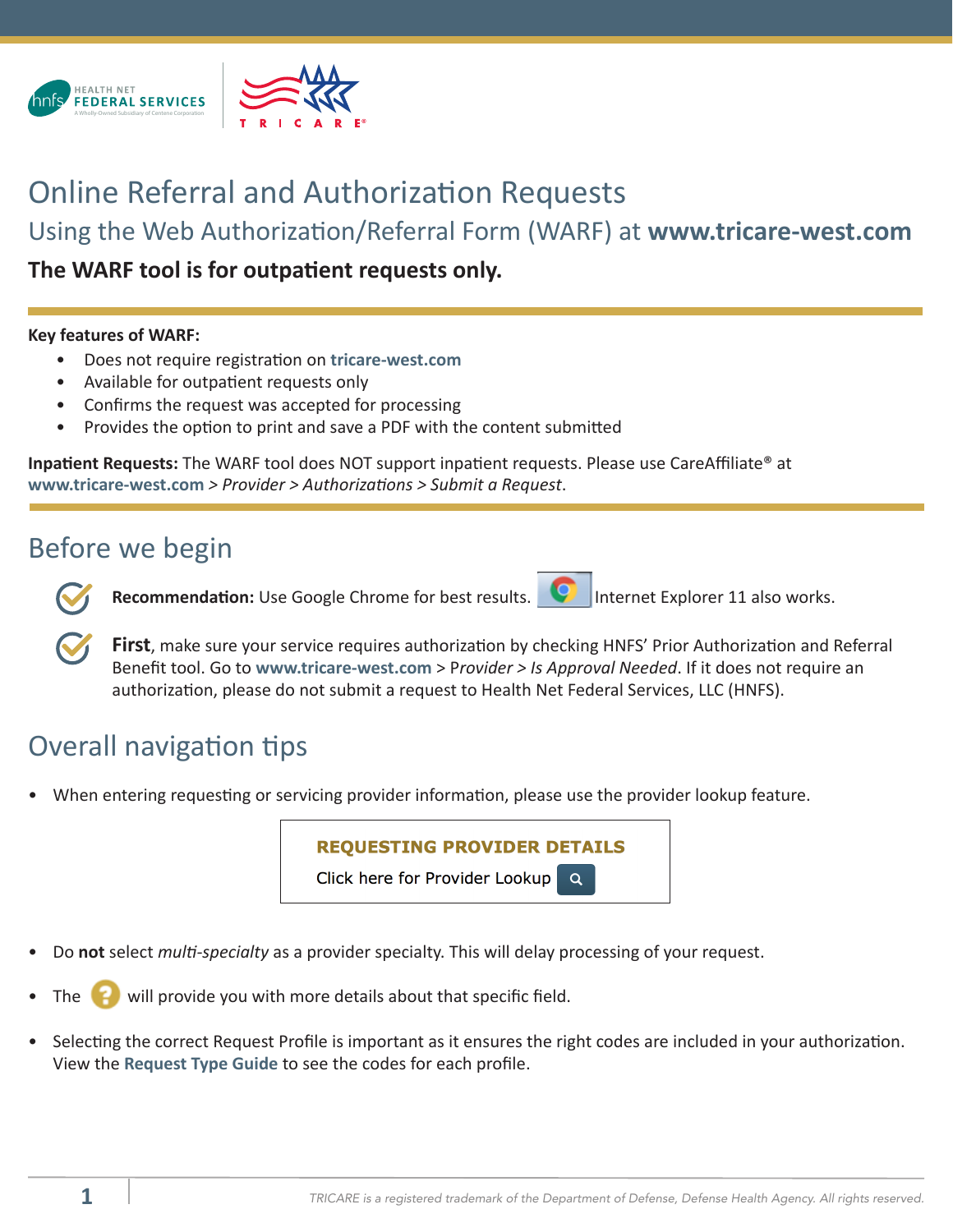



## Online Referral and Authorization Requests

Using the Web Authorization/Referral Form (WARF) at **www.tricare-west.com**

**The WARF tool is for outpatient requests only.**

#### **Key features of WARF:**

- Does not require registration on **tricare-west.com**
- Available for outpatient requests only
- Confirms the request was accepted for processing
- Provides the option to print and save a PDF with the content submitted

**Inpatient Requests:** The WARF tool does NOT support inpatient requests. Please use CareAffiliate® at **www.tricare-west.com** *> Provider > Authorizations > Submit a Request*.

## Before we begin

**Recommendation:** Use Google Chrome for best results. **ID** Internet Explorer 11 also works.



**First**, make sure your service requires authorization by checking HNFS' Prior Authorization and Referral Benefit tool. Go to **www.tricare-west.com** > P*[rovider > Is Approval Needed](https://www.tricare-west.com/content/hnfs/home/tw/prov/auth/parb-tool.html)*. If it does not require an authorization, please do not submit a request to Health Net Federal Services, LLC (HNFS).

# Overall navigation tips

• When entering requesting or servicing provider information, please use the provider lookup feature.



- Do **not** select *multi-specialty* as a provider specialty. This will delay processing of your request.
- will provide you with more details about that specific field.
- Selecting the correct Request Profile is important as it ensures the right codes are included in your authorization. View the **Request Type [Guide](https://www.tricare-west.com/content/dam/hnfs/tw/prov/auths/pdf/CA_WARF_Request_Type_Guide.pdf.)** to see the codes for each profile.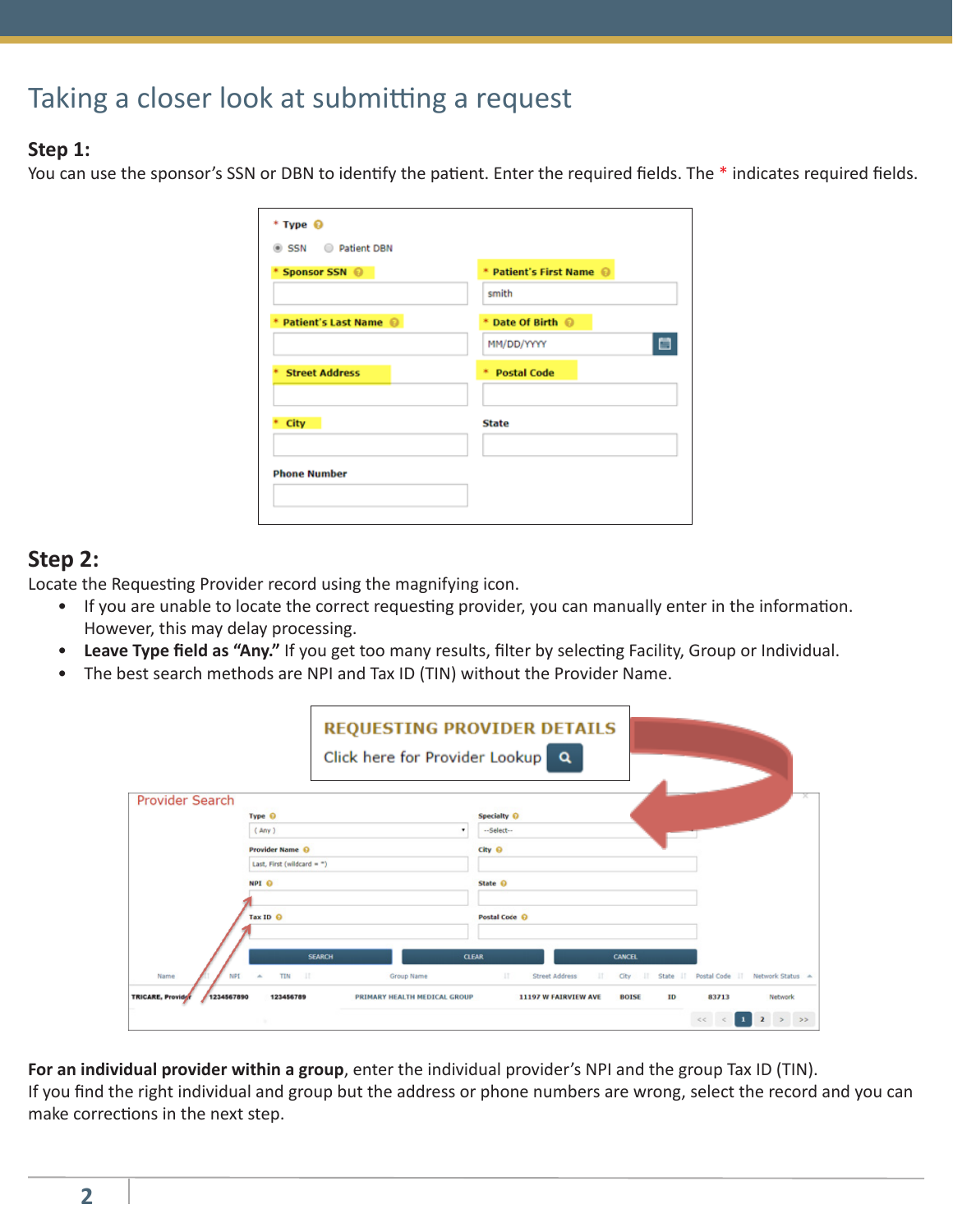# Taking a closer look at submitting a request

#### **Step 1:**

You can use the sponsor's SSN or DBN to identify the patient. Enter the required fields. The \* indicates required fields.

| $*$ Type $\odot$<br>SSN Patient DBN |                          |
|-------------------------------------|--------------------------|
| * Sponsor SSN ©                     | * Patient's First Name @ |
|                                     | smith                    |
| * Patient's Last Name @             | * Date Of Birth @        |
|                                     | е<br>MM/DD/YYYY          |
| <b>Street Address</b><br>٠          | * Postal Code            |
| City                                | <b>State</b>             |
| <b>Phone Number</b>                 |                          |

## **Step 2:**

Locate the Requesting Provider record using the magnifying icon.

- If you are unable to locate the correct requesting provider, you can manually enter in the information. However, this may delay processing.
- **Leave Type field as "Any."** If you get too many results, filter by selecting Facility, Group or Individual.
- The best search methods are NPI and Tax ID (TIN) without the Provider Name.

|                                                     | <b>REQUESTING PROVIDER DETAILS</b><br>Click here for Provider Lookup | $\alpha$                                                                                |                                    |
|-----------------------------------------------------|----------------------------------------------------------------------|-----------------------------------------------------------------------------------------|------------------------------------|
| <b>Provider Search</b>                              |                                                                      |                                                                                         |                                    |
| Type <sup>O</sup>                                   | ۰                                                                    | Specialty O                                                                             |                                    |
| (Any)                                               |                                                                      | --Select--                                                                              |                                    |
| <b>Provider Name O</b>                              |                                                                      | City <sup>O</sup>                                                                       |                                    |
| Last, First (wildcard = $-$ )                       |                                                                      |                                                                                         |                                    |
| NPI <sup>O</sup>                                    |                                                                      | State O                                                                                 |                                    |
|                                                     |                                                                      |                                                                                         |                                    |
| Tax ID O                                            |                                                                      | Postal Code <sup>O</sup>                                                                |                                    |
|                                                     |                                                                      |                                                                                         |                                    |
|                                                     | <b>SEARCH</b>                                                        | <b>CLEAR</b><br>CANCEL                                                                  |                                    |
| $-11$<br><b>TIN</b><br>NPI<br>Name<br>$\Delta$      | Group Name                                                           | $\mathbb{H}$<br><b>Street Address</b><br>State IT<br>$\mathbf{H}$<br>City<br><b>III</b> | Postal Code IT<br>Network Status A |
| <b>TRICARE, Providor</b><br>1234567890<br>123456789 | PRIMARY HEALTH MEDICAL GROUP                                         | 11197 W FAIRVIEW AVE<br><b>BOISE</b><br>ID                                              | 83713<br><b>Network</b>            |
|                                                     |                                                                      |                                                                                         | $\overline{2}$<br>$>$ $>$<br>$<<$  |

**For an individual provider within a group**, enter the individual provider's NPI and the group Tax ID (TIN).

If you find the right individual and group but the address or phone numbers are wrong, select the record and you can make corrections in the next step.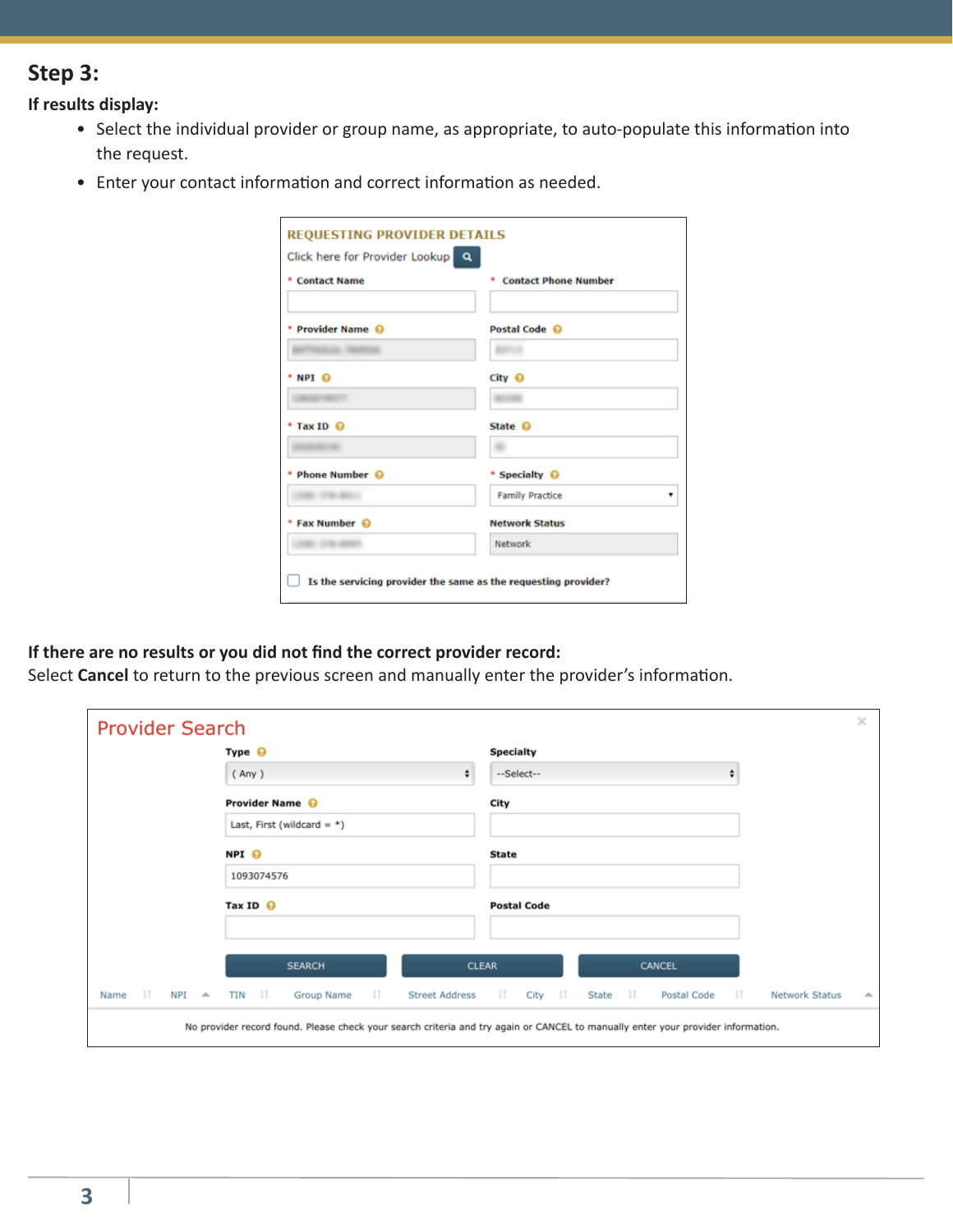## **Step 3:**

**If results display:**

- Select the individual provider or group name, as appropriate, to auto-populate this information into the request.
- Enter your contact information and correct information as needed.

| * Contact Name    | * Contact Phone Number   |  |  |  |
|-------------------|--------------------------|--|--|--|
| * Provider Name @ | Postal Code <sup>O</sup> |  |  |  |
|                   |                          |  |  |  |
| * NPI ல           | City <b>⊙</b>            |  |  |  |
|                   |                          |  |  |  |
| * Tax ID @        | State <sup>O</sup>       |  |  |  |
|                   |                          |  |  |  |
| * Phone Number @  | * Specialty @            |  |  |  |
|                   | <b>Family Practice</b>   |  |  |  |
| * Fax Number @    | <b>Network Status</b>    |  |  |  |
| Network           |                          |  |  |  |

#### **If there are no results or you did not find the correct provider record:**

Select **Cancel** to return to the previous screen and manually enter the provider's information.

| <b>Provider Search</b>             |                                                                                                                                  |                                                              |                         | $\times$                                       |
|------------------------------------|----------------------------------------------------------------------------------------------------------------------------------|--------------------------------------------------------------|-------------------------|------------------------------------------------|
|                                    | Type $\Theta$                                                                                                                    | <b>Specialty</b>                                             |                         |                                                |
|                                    | (Any)                                                                                                                            | $\div$<br>--Select--                                         | ÷                       |                                                |
|                                    | Provider Name @                                                                                                                  | City                                                         |                         |                                                |
|                                    | Last, First (wildcard = $*$ )                                                                                                    |                                                              |                         |                                                |
|                                    | NPI O                                                                                                                            | <b>State</b>                                                 |                         |                                                |
|                                    | 1093074576                                                                                                                       |                                                              |                         |                                                |
|                                    | Tax ID $\odot$                                                                                                                   | <b>Postal Code</b>                                           |                         |                                                |
|                                    |                                                                                                                                  |                                                              |                         |                                                |
|                                    | <b>SEARCH</b>                                                                                                                    | <b>CLEAR</b>                                                 | CANCEL                  |                                                |
| -lT<br>$NPI$ $\rightarrow$<br>Name | TIN <b>IT</b><br>$\mathbf{u}$<br>Group Name                                                                                      | City IT<br><b>Street Address</b><br>$\overline{\mathbf{11}}$ | State IT<br>Postal Code | $-\mathbf{I}\mathbf{T}$<br>Network Status<br>┻ |
|                                    | No provider record found. Please check your search criteria and try again or CANCEL to manually enter your provider information. |                                                              |                         |                                                |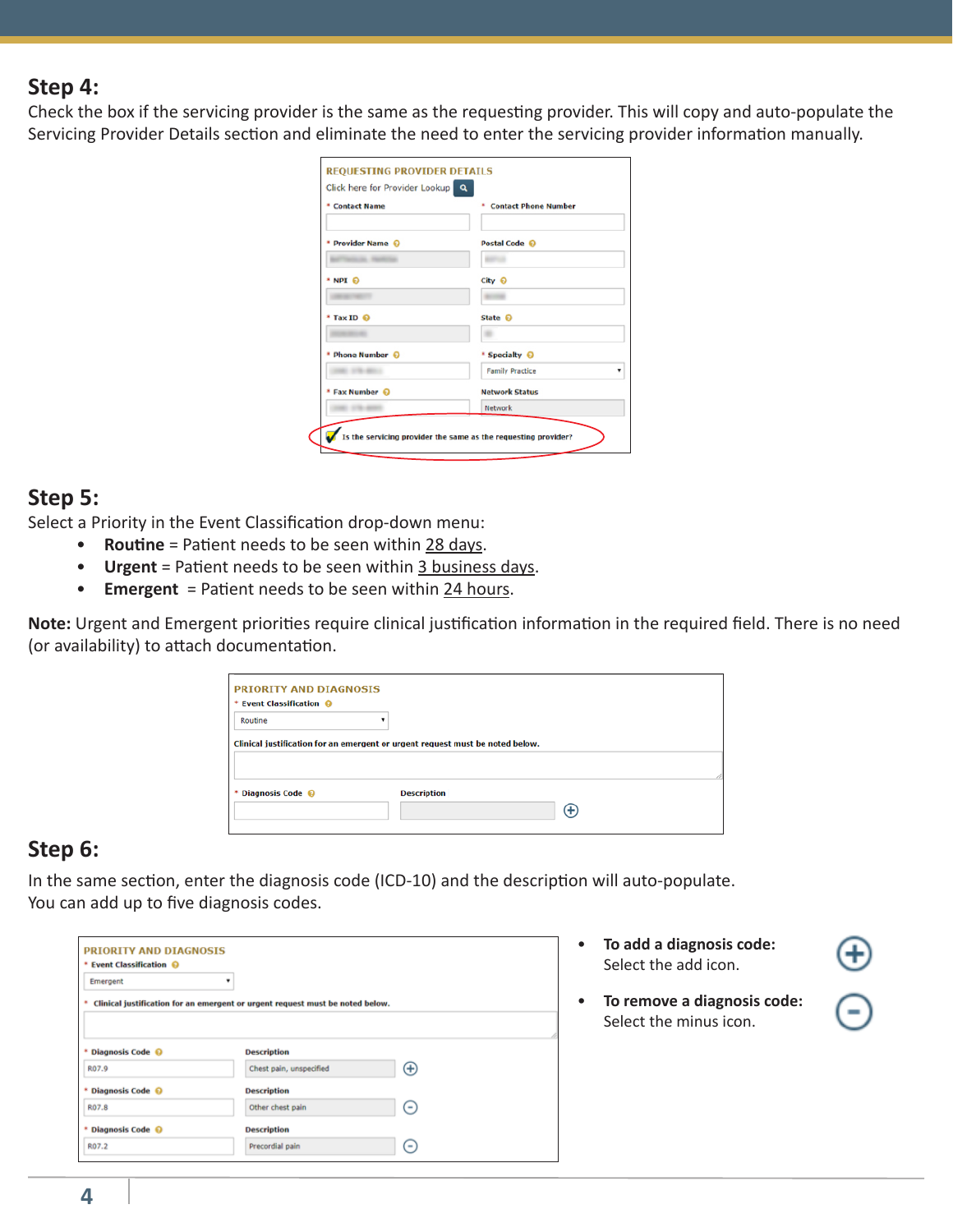### **Step 4:**

Check the box if the servicing provider is the same as the requesting provider. This will copy and auto-populate the Servicing Provider Details section and eliminate the need to enter the servicing provider information manually.

| * Contact Name                 | * Contact Phone Number |
|--------------------------------|------------------------|
| * Provider Name @              | Postal Code ©          |
| <b>SALES AND INVESTIGATION</b> |                        |
| $*$ NPI $\Theta$               | City <sup>O</sup>      |
|                                |                        |
| * Tax ID @                     | State @                |
|                                |                        |
| * Phone Number ©               | * Specialty ©          |
|                                | <b>Family Practice</b> |
| * Fax Number @                 | <b>Network Status</b>  |
|                                | Network                |

#### **Step 5:**

Select a Priority in the Event Classification drop-down menu:

- **Routine** = Patient needs to be seen within 28 days.
- **Urgent** = Patient needs to be seen within 3 business days.
- **Emergent** = Patient needs to be seen within 24 hours.

**Note:** Urgent and Emergent priorities require clinical justification information in the required field. There is no need (or availability) to attach documentation.

| * Event Classification @ |                                                                               |  |
|--------------------------|-------------------------------------------------------------------------------|--|
| Routine                  |                                                                               |  |
|                          |                                                                               |  |
|                          | Clinical justification for an emergent or urgent request must be noted below. |  |
|                          |                                                                               |  |
|                          |                                                                               |  |
| * Diagnosis Code @       | <b>Description</b>                                                            |  |

## **Step 6:**

In the same section, enter the diagnosis code (ICD-10) and the description will auto-populate. You can add up to five diagnosis codes.

| * Event Classification @ |                                                                               |              |
|--------------------------|-------------------------------------------------------------------------------|--------------|
| Emergent                 | ۰                                                                             |              |
| ٠                        | Clinical justification for an emergent or urgent request must be noted below. |              |
|                          |                                                                               |              |
| Diagnosis Code @<br>٠    | <b>Description</b>                                                            |              |
|                          | Chest pain, unspecified                                                       | $^{\rm (+)}$ |
| R07.9                    |                                                                               |              |
| Diagnosis Code @         | <b>Description</b>                                                            |              |
| ٠<br>R07.8               | Other chest pain                                                              | $(-)$        |
| * Diagnosis Code @       | <b>Description</b>                                                            |              |

- **To add a diagnosis code:** Select the add icon.
- **To remove a diagnosis code:**  Select the minus icon.

**4**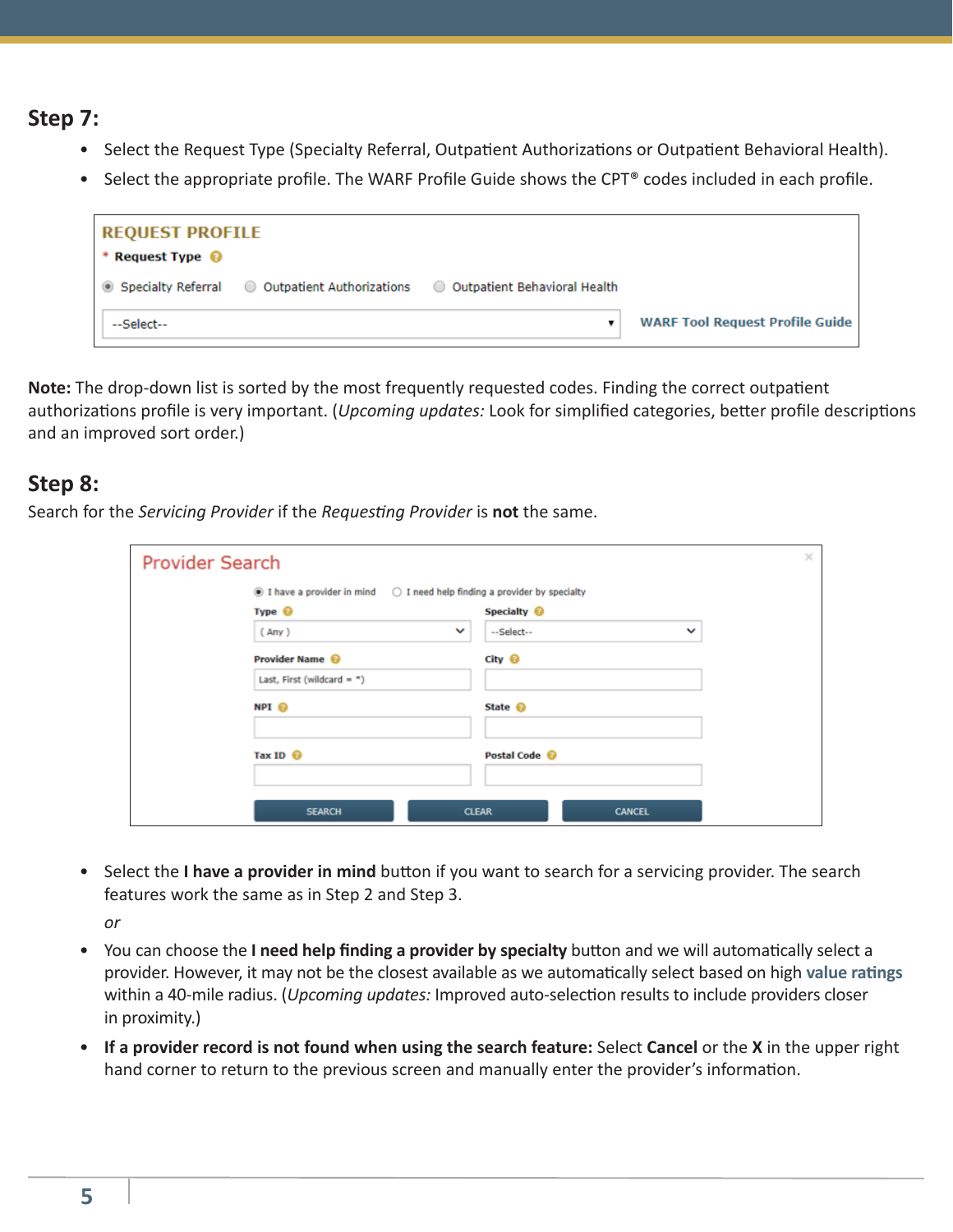### **Step 7:**

- Select the Request Type (Specialty Referral, Outpatient Authorizations or Outpatient Behavioral Health).
- Select the appropriate profile. The WARF Profile Guide shows the CPT® codes included in each profile.

| <b>REQUEST PROFILE</b><br>* Request Type $\bigcirc$ |                                                  |                                |                                        |
|-----------------------------------------------------|--------------------------------------------------|--------------------------------|----------------------------------------|
|                                                     | ● Specialty Referral ● Outpatient Authorizations | O Outpatient Behavioral Health |                                        |
| --Select--                                          |                                                  | ▼                              | <b>WARF Tool Request Profile Guide</b> |

**Note:** The drop-down list is sorted by the most frequently requested codes. Finding the correct outpatient authorizations profile is very important. (*Upcoming updates:* Look for simplified categories, better profile descriptions and an improved sort order.)

### **Step 8:**

Search for the *Servicing Provider* if the *Requesting Provider* is **not** the same.

| <b>Provider Search</b> |                                                                                             |              |                          |               | $\times$ |
|------------------------|---------------------------------------------------------------------------------------------|--------------|--------------------------|---------------|----------|
|                        | $\circledast$ I have a provider in mind $\circ$ I need help finding a provider by specialty |              |                          |               |          |
|                        | Type <sup>@</sup>                                                                           |              | Specialty <sup>@</sup>   |               |          |
|                        | (Any)                                                                                       | $\checkmark$ | --Select--               | $\checkmark$  |          |
|                        | Provider Name @                                                                             |              | City <sup>@</sup>        |               |          |
|                        | Last, First (wildcard = $*$ )                                                               |              |                          |               |          |
|                        | NPI O                                                                                       |              | State <sup>@</sup>       |               |          |
|                        | Tax ID @                                                                                    |              | Postal Code <sup>@</sup> |               |          |
|                        | <b>SEARCH</b>                                                                               |              | <b>CLEAR</b>             | <b>CANCEL</b> |          |

• Select the **I have a provider in mind** button if you want to search for a servicing provider. The search features work the same as in Step 2 and Step 3.

*or*

- You can choose the **I need help finding a provider by specialty** button and we will automatically select a provider. However, it may not be the closest available as we automatically select based on high **[value ratings](https://www.tricare-west.com/content/hnfs/home/tw/prov/provider-directory/directory-ratings.html)** within a 40-mile radius. (*Upcoming updates:* Improved auto-selection results to include providers closer in proximity.)
- **If a provider record is not found when using the search feature:** Select **Cancel** or the **X** in the upper right hand corner to return to the previous screen and manually enter the provider's information.